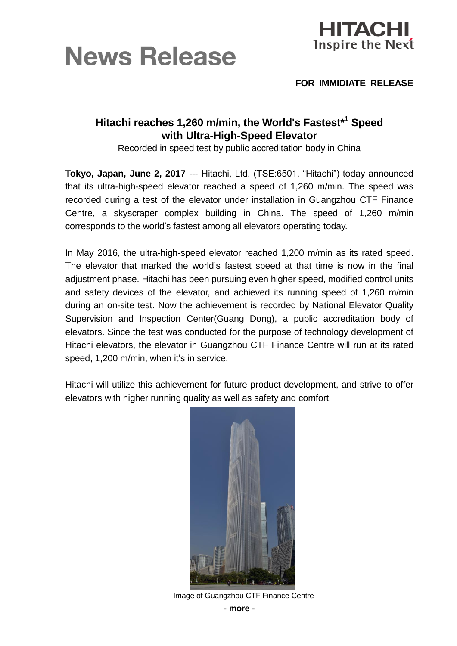



**FOR IMMIDIATE RELEASE**

## **Hitachi reaches 1,260 m/min, the World's Fastest\*<sup>1</sup> Speed with Ultra-High-Speed Elevator**

Recorded in speed test by public accreditation body in China

**Tokyo, Japan, June 2, 2017** --- Hitachi, Ltd. (TSE:6501, "Hitachi") today announced that its ultra-high-speed elevator reached a speed of 1,260 m/min. The speed was recorded during a test of the elevator under installation in Guangzhou CTF Finance Centre, a skyscraper complex building in China. The speed of 1,260 m/min corresponds to the world's fastest among all elevators operating today.

In May 2016, the ultra-high-speed elevator reached 1,200 m/min as its rated speed. The elevator that marked the world's fastest speed at that time is now in the final adjustment phase. Hitachi has been pursuing even higher speed, modified control units and safety devices of the elevator, and achieved its running speed of 1,260 m/min during an on-site test. Now the achievement is recorded by National Elevator Quality Supervision and Inspection Center(Guang Dong), a public accreditation body of elevators. Since the test was conducted for the purpose of technology development of Hitachi elevators, the elevator in Guangzhou CTF Finance Centre will run at its rated speed, 1,200 m/min, when it's in service.

Hitachi will utilize this achievement for future product development, and strive to offer elevators with higher running quality as well as safety and comfort.



Image of Guangzhou CTF Finance Centre